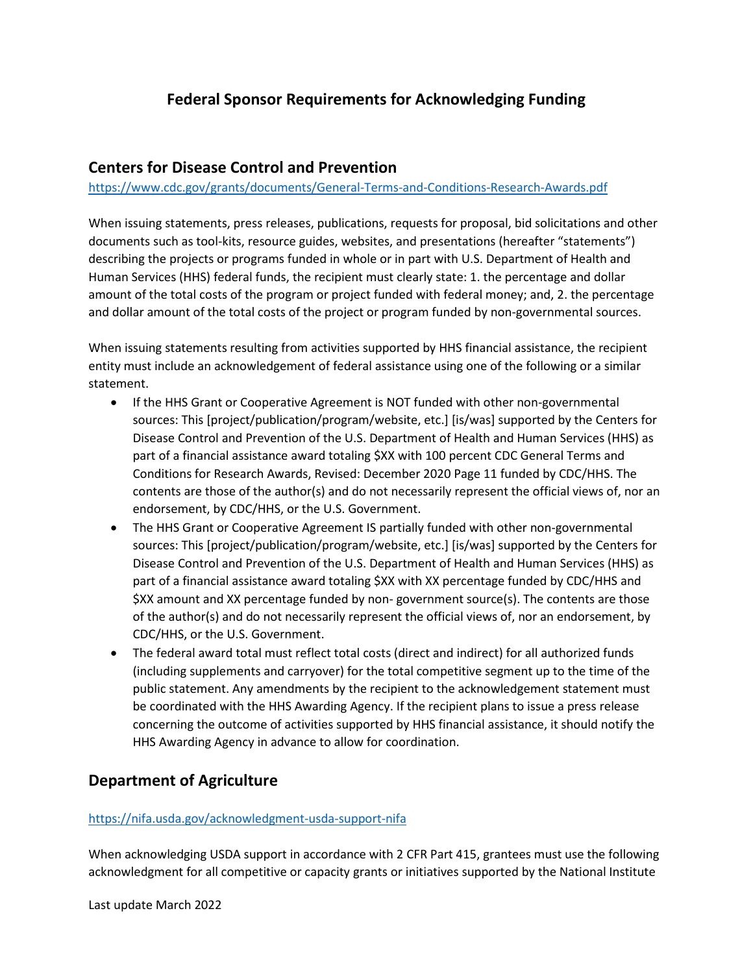# **Federal Sponsor Requirements for Acknowledging Funding**

## **Centers for Disease Control and Prevention**

<https://www.cdc.gov/grants/documents/General-Terms-and-Conditions-Research-Awards.pdf>

When issuing statements, press releases, publications, requests for proposal, bid solicitations and other documents such as tool-kits, resource guides, websites, and presentations (hereafter "statements") describing the projects or programs funded in whole or in part with U.S. Department of Health and Human Services (HHS) federal funds, the recipient must clearly state: 1. the percentage and dollar amount of the total costs of the program or project funded with federal money; and, 2. the percentage and dollar amount of the total costs of the project or program funded by non-governmental sources.

When issuing statements resulting from activities supported by HHS financial assistance, the recipient entity must include an acknowledgement of federal assistance using one of the following or a similar statement.

- If the HHS Grant or Cooperative Agreement is NOT funded with other non-governmental sources: This [project/publication/program/website, etc.] [is/was] supported by the Centers for Disease Control and Prevention of the U.S. Department of Health and Human Services (HHS) as part of a financial assistance award totaling \$XX with 100 percent CDC General Terms and Conditions for Research Awards, Revised: December 2020 Page 11 funded by CDC/HHS. The contents are those of the author(s) and do not necessarily represent the official views of, nor an endorsement, by CDC/HHS, or the U.S. Government.
- The HHS Grant or Cooperative Agreement IS partially funded with other non-governmental sources: This [project/publication/program/website, etc.] [is/was] supported by the Centers for Disease Control and Prevention of the U.S. Department of Health and Human Services (HHS) as part of a financial assistance award totaling \$XX with XX percentage funded by CDC/HHS and \$XX amount and XX percentage funded by non- government source(s). The contents are those of the author(s) and do not necessarily represent the official views of, nor an endorsement, by CDC/HHS, or the U.S. Government.
- The federal award total must reflect total costs (direct and indirect) for all authorized funds (including supplements and carryover) for the total competitive segment up to the time of the public statement. Any amendments by the recipient to the acknowledgement statement must be coordinated with the HHS Awarding Agency. If the recipient plans to issue a press release concerning the outcome of activities supported by HHS financial assistance, it should notify the HHS Awarding Agency in advance to allow for coordination.

## **Department of Agriculture**

#### <https://nifa.usda.gov/acknowledgment-usda-support-nifa>

When acknowledging USDA support in accordance with 2 CFR Part 415, grantees must use the following acknowledgment for all competitive or capacity grants or initiatives supported by the National Institute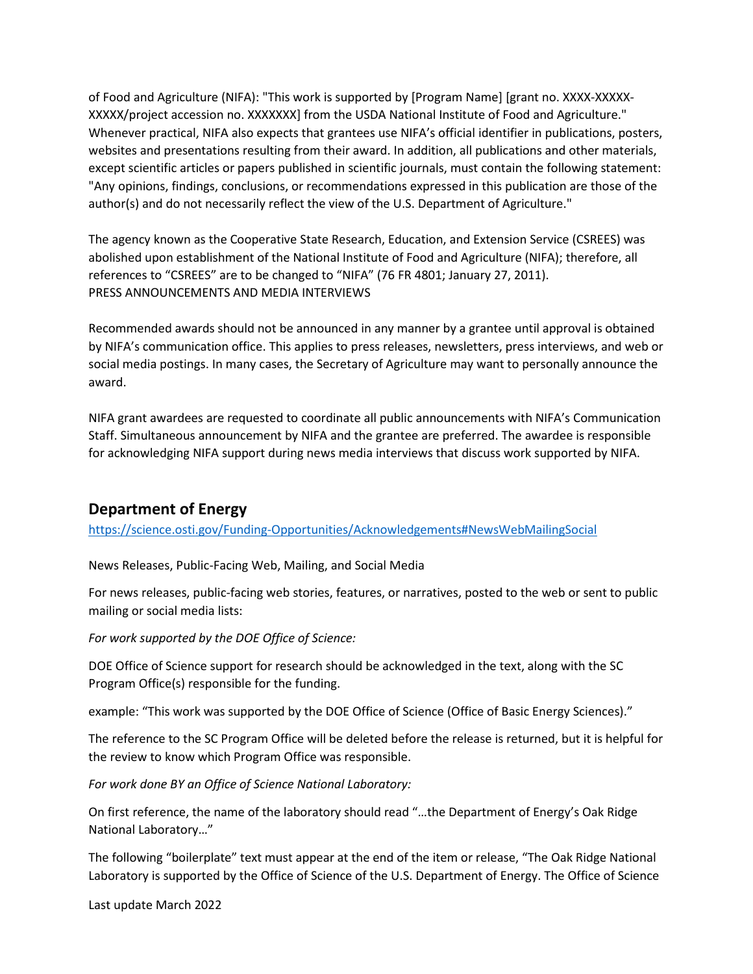of Food and Agriculture (NIFA): "This work is supported by [Program Name] [grant no. XXXX-XXXXX-XXXXX/project accession no. XXXXXXX] from the USDA National Institute of Food and Agriculture." Whenever practical, NIFA also expects that grantees use NIFA's official identifier in publications, posters, websites and presentations resulting from their award. In addition, all publications and other materials, except scientific articles or papers published in scientific journals, must contain the following statement: "Any opinions, findings, conclusions, or recommendations expressed in this publication are those of the author(s) and do not necessarily reflect the view of the U.S. Department of Agriculture."

The agency known as the Cooperative State Research, Education, and Extension Service (CSREES) was abolished upon establishment of the National Institute of Food and Agriculture (NIFA); therefore, all references to "CSREES" are to be changed to "NIFA" (76 FR 4801; January 27, 2011). PRESS ANNOUNCEMENTS AND MEDIA INTERVIEWS

Recommended awards should not be announced in any manner by a grantee until approval is obtained by NIFA's communication office. This applies to press releases, newsletters, press interviews, and web or social media postings. In many cases, the Secretary of Agriculture may want to personally announce the award.

NIFA grant awardees are requested to coordinate all public announcements with NIFA's Communication Staff. Simultaneous announcement by NIFA and the grantee are preferred. The awardee is responsible for acknowledging NIFA support during news media interviews that discuss work supported by NIFA.

## **Department of Energy**

<https://science.osti.gov/Funding-Opportunities/Acknowledgements#NewsWebMailingSocial>

News Releases, Public-Facing Web, Mailing, and Social Media

For news releases, public-facing web stories, features, or narratives, posted to the web or sent to public mailing or social media lists:

*For work supported by the DOE Office of Science:*

DOE Office of Science support for research should be acknowledged in the text, along with the SC Program Office(s) responsible for the funding.

example: "This work was supported by the DOE Office of Science (Office of Basic Energy Sciences)."

The reference to the SC Program Office will be deleted before the release is returned, but it is helpful for the review to know which Program Office was responsible.

*For work done BY an Office of Science National Laboratory:*

On first reference, the name of the laboratory should read "…the Department of Energy's Oak Ridge National Laboratory…"

The following "boilerplate" text must appear at the end of the item or release, "The Oak Ridge National Laboratory is supported by the Office of Science of the U.S. Department of Energy. The Office of Science

Last update March 2022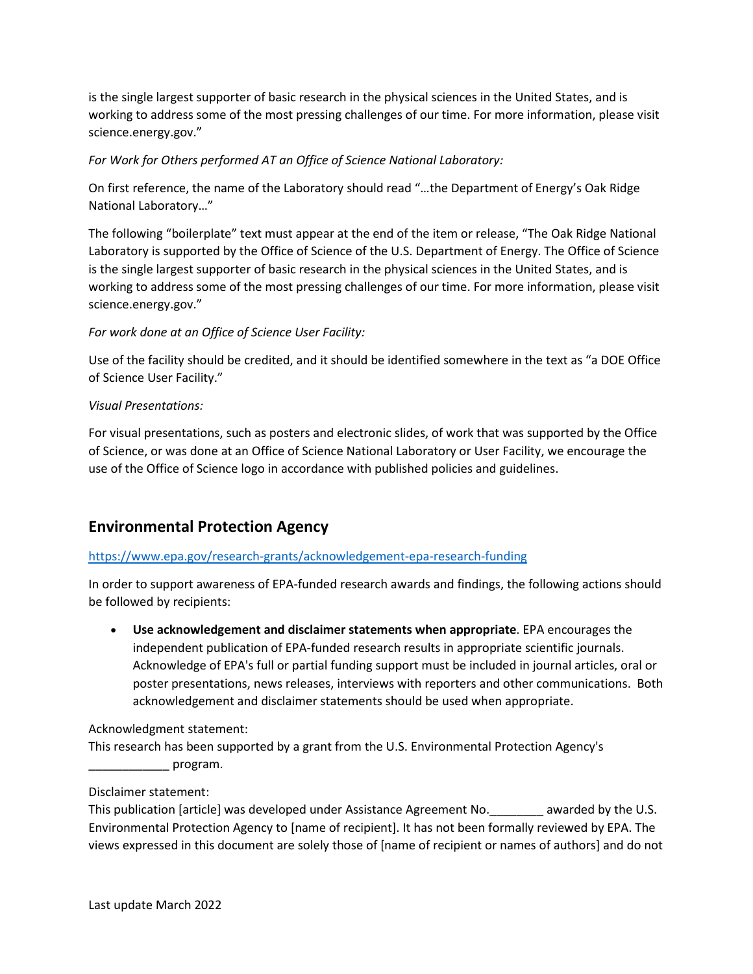is the single largest supporter of basic research in the physical sciences in the United States, and is working to address some of the most pressing challenges of our time. For more information, please visit science.energy.gov."

### *For Work for Others performed AT an Office of Science National Laboratory:*

On first reference, the name of the Laboratory should read "…the Department of Energy's Oak Ridge National Laboratory…"

The following "boilerplate" text must appear at the end of the item or release, "The Oak Ridge National Laboratory is supported by the Office of Science of the U.S. Department of Energy. The Office of Science is the single largest supporter of basic research in the physical sciences in the United States, and is working to address some of the most pressing challenges of our time. For more information, please visit science.energy.gov."

## *For work done at an Office of Science User Facility:*

Use of the facility should be credited, and it should be identified somewhere in the text as "a DOE Office of Science User Facility."

### *Visual Presentations:*

For visual presentations, such as posters and electronic slides, of work that was supported by the Office of Science, or was done at an Office of Science National Laboratory or User Facility, we encourage the use of the Office of Science logo in accordance with published policies and guidelines.

# **Environmental Protection Agency**

### <https://www.epa.gov/research-grants/acknowledgement-epa-research-funding>

In order to support awareness of EPA-funded research awards and findings, the following actions should be followed by recipients:

• **Use acknowledgement and disclaimer statements when appropriate**. EPA encourages the independent publication of EPA-funded research results in appropriate scientific journals. Acknowledge of EPA's full or partial funding support must be included in journal articles, oral or poster presentations, news releases, interviews with reporters and other communications. Both acknowledgement and disclaimer statements should be used when appropriate.

### Acknowledgment statement:

This research has been supported by a grant from the U.S. Environmental Protection Agency's \_\_\_\_\_\_\_\_\_\_\_\_ program.

### Disclaimer statement:

This publication [article] was developed under Assistance Agreement No.\_\_\_\_\_\_\_\_ awarded by the U.S. Environmental Protection Agency to [name of recipient]. It has not been formally reviewed by EPA. The views expressed in this document are solely those of [name of recipient or names of authors] and do not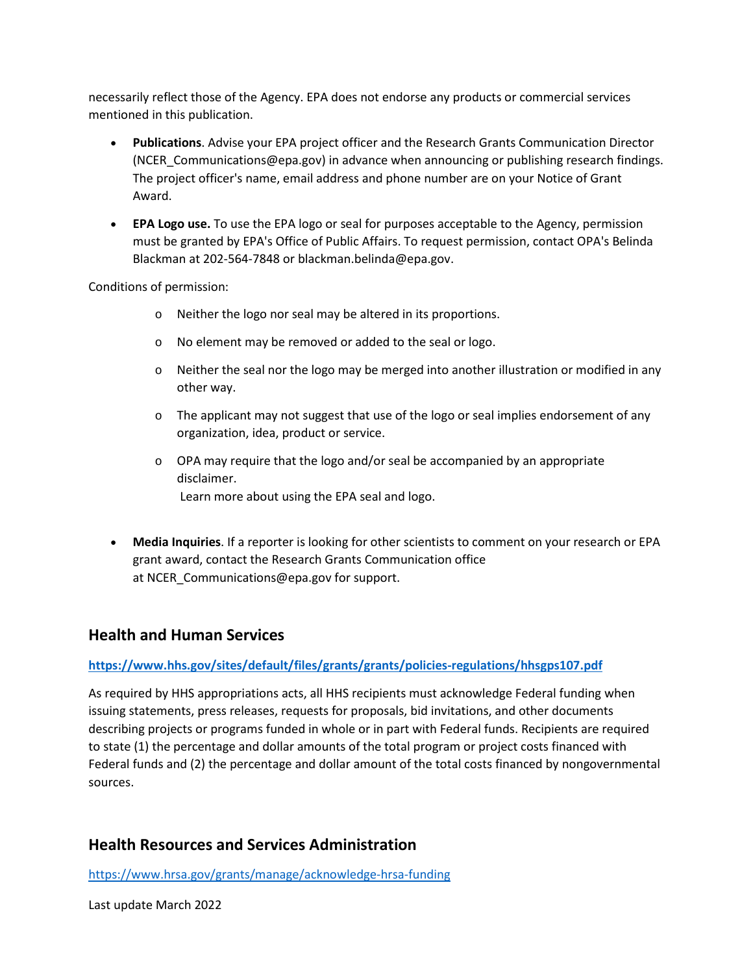necessarily reflect those of the Agency. EPA does not endorse any products or commercial services mentioned in this publication.

- **Publications**. Advise your EPA project officer and the Research Grants Communication Director (NCER\_Communications@epa.gov) in advance when announcing or publishing research findings. The project officer's name, email address and phone number are on your Notice of Grant Award.
- **EPA Logo use.** To use the EPA logo or seal for purposes acceptable to the Agency, permission must be granted by EPA's Office of Public Affairs. To request permission, contact OPA's Belinda Blackman at 202-564-7848 or blackman.belinda@epa.gov.

Conditions of permission:

- o Neither the logo nor seal may be altered in its proportions.
- o No element may be removed or added to the seal or logo.
- $\circ$  Neither the seal nor the logo may be merged into another illustration or modified in any other way.
- $\circ$  The applicant may not suggest that use of the logo or seal implies endorsement of any organization, idea, product or service.
- $\circ$  OPA may require that the logo and/or seal be accompanied by an appropriate disclaimer. Learn more about using the EPA seal and logo.
- **Media Inquiries**. If a reporter is looking for other scientists to comment on your research or EPA grant award, contact the Research Grants Communication office at NCER Communications@epa.gov for support.

## **Health and Human Services**

### **<https://www.hhs.gov/sites/default/files/grants/grants/policies-regulations/hhsgps107.pdf>**

As required by HHS appropriations acts, all HHS recipients must acknowledge Federal funding when issuing statements, press releases, requests for proposals, bid invitations, and other documents describing projects or programs funded in whole or in part with Federal funds. Recipients are required to state (1) the percentage and dollar amounts of the total program or project costs financed with Federal funds and (2) the percentage and dollar amount of the total costs financed by nongovernmental sources.

## **Health Resources and Services Administration**

<https://www.hrsa.gov/grants/manage/acknowledge-hrsa-funding>

Last update March 2022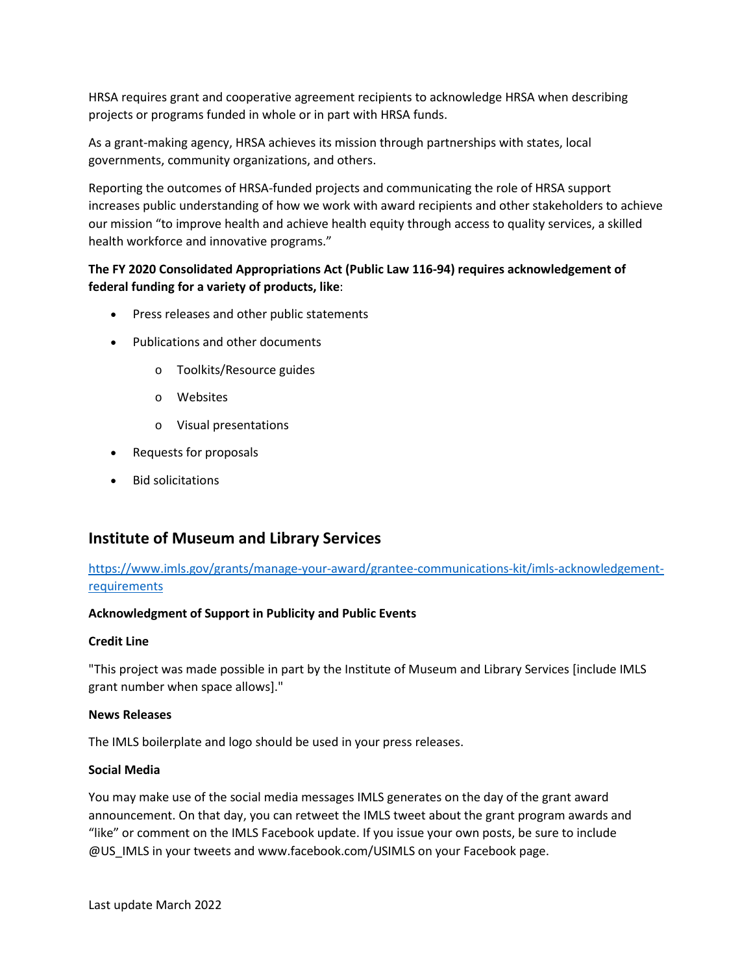HRSA requires grant and cooperative agreement recipients to acknowledge HRSA when describing projects or programs funded in whole or in part with HRSA funds.

As a grant-making agency, HRSA achieves its mission through partnerships with states, local governments, community organizations, and others.

Reporting the outcomes of HRSA-funded projects and communicating the role of HRSA support increases public understanding of how we work with award recipients and other stakeholders to achieve our mission "to improve health and achieve health equity through access to quality services, a skilled health workforce and innovative programs."

## **The FY 2020 Consolidated Appropriations Act (Public Law 116-94) requires acknowledgement of federal funding for a variety of products, like**:

- Press releases and other public statements
- Publications and other documents
	- o Toolkits/Resource guides
	- o Websites
	- o Visual presentations
- Requests for proposals
- Bid solicitations

## **Institute of Museum and Library Services**

[https://www.imls.gov/grants/manage-your-award/grantee-communications-kit/imls-acknowledgement](https://www.imls.gov/grants/manage-your-award/grantee-communications-kit/imls-acknowledgement-requirements)**[requirements](https://www.imls.gov/grants/manage-your-award/grantee-communications-kit/imls-acknowledgement-requirements)** 

#### **Acknowledgment of Support in Publicity and Public Events**

#### **Credit Line**

"This project was made possible in part by the Institute of Museum and Library Services [include IMLS grant number when space allows]."

#### **News Releases**

The IMLS boilerplate and logo should be used in your press releases.

#### **Social Media**

You may make use of the social media messages IMLS generates on the day of the grant award announcement. On that day, you can retweet the IMLS tweet about the grant program awards and "like" or comment on the IMLS Facebook update. If you issue your own posts, be sure to include @US IMLS in your tweets and www.facebook.com/USIMLS on your Facebook page.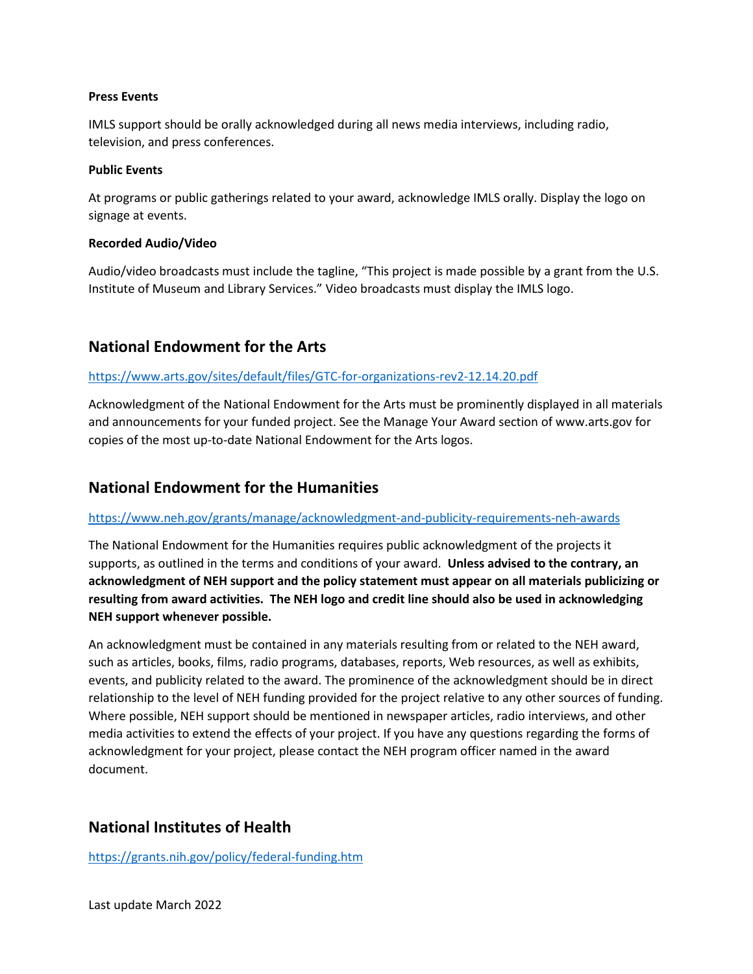#### **Press Events**

IMLS support should be orally acknowledged during all news media interviews, including radio, television, and press conferences.

#### **Public Events**

At programs or public gatherings related to your award, acknowledge IMLS orally. Display the logo on signage at events.

#### **Recorded Audio/Video**

Audio/video broadcasts must include the tagline, "This project is made possible by a grant from the U.S. Institute of Museum and Library Services." Video broadcasts must display the IMLS logo.

## **National Endowment for the Arts**

#### <https://www.arts.gov/sites/default/files/GTC-for-organizations-rev2-12.14.20.pdf>

Acknowledgment of the National Endowment for the Arts must be prominently displayed in all materials and announcements for your funded project. See the Manage Your Award section of www.arts.gov for copies of the most up-to-date National Endowment for the Arts logos.

## **National Endowment for the Humanities**

#### <https://www.neh.gov/grants/manage/acknowledgment-and-publicity-requirements-neh-awards>

The National Endowment for the Humanities requires public acknowledgment of the projects it supports, as outlined in the terms and conditions of your award. **Unless advised to the contrary, an acknowledgment of NEH support and the policy statement must appear on all materials publicizing or resulting from award activities. The NEH logo and credit line should also be used in acknowledging NEH support whenever possible.** 

An acknowledgment must be contained in any materials resulting from or related to the NEH award, such as articles, books, films, radio programs, databases, reports, Web resources, as well as exhibits, events, and publicity related to the award. The prominence of the acknowledgment should be in direct relationship to the level of NEH funding provided for the project relative to any other sources of funding. Where possible, NEH support should be mentioned in newspaper articles, radio interviews, and other media activities to extend the effects of your project. If you have any questions regarding the forms of acknowledgment for your project, please contact the NEH program officer named in the award document.

## **National Institutes of Health**

<https://grants.nih.gov/policy/federal-funding.htm>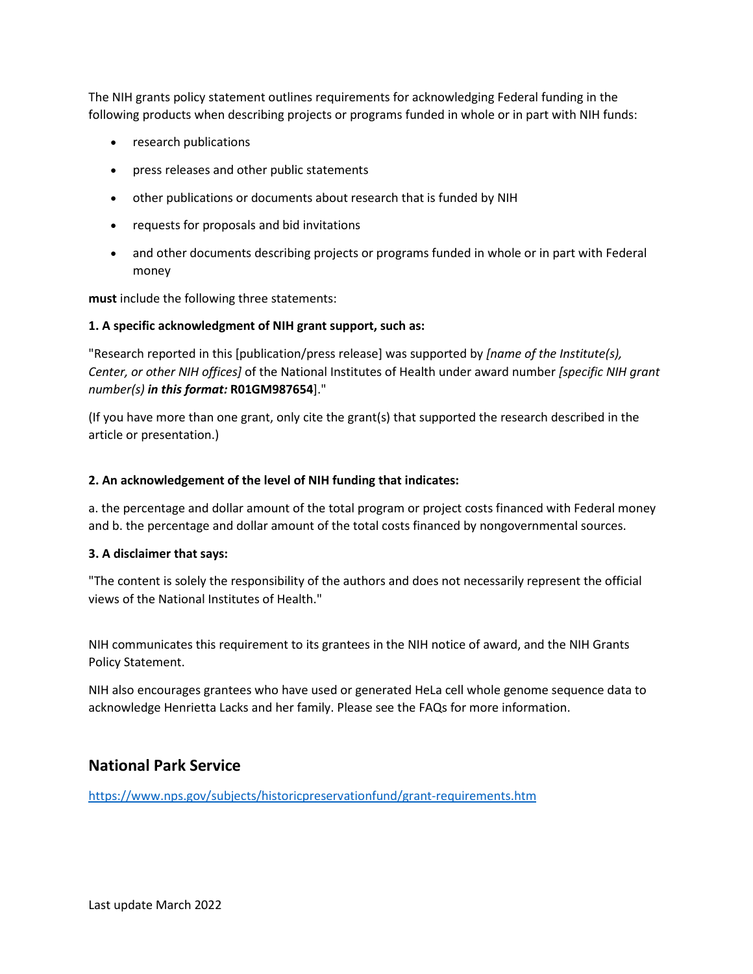The NIH grants policy statement outlines requirements for acknowledging Federal funding in the following products when describing projects or programs funded in whole or in part with NIH funds:

- research publications
- press releases and other public statements
- other publications or documents about research that is funded by NIH
- requests for proposals and bid invitations
- and other documents describing projects or programs funded in whole or in part with Federal money

**must** include the following three statements:

#### **1. A specific acknowledgment of NIH grant support, such as:**

"Research reported in this [publication/press release] was supported by *[name of the Institute(s), Center, or other NIH offices]* of the National Institutes of Health under award number *[specific NIH grant number(s) in this format:* **R01GM987654**]."

(If you have more than one grant, only cite the grant(s) that supported the research described in the article or presentation.)

#### **2. An acknowledgement of the level of NIH funding that indicates:**

a. the percentage and dollar amount of the total program or project costs financed with Federal money and b. the percentage and dollar amount of the total costs financed by nongovernmental sources.

#### **3. A disclaimer that says:**

"The content is solely the responsibility of the authors and does not necessarily represent the official views of the National Institutes of Health."

NIH communicates this requirement to its grantees in the NIH notice of award, and the NIH Grants Policy Statement.

NIH also encourages grantees who have used or generated HeLa cell whole genome sequence data to acknowledge Henrietta Lacks and her family. Please see the FAQs for more information.

## **National Park Service**

<https://www.nps.gov/subjects/historicpreservationfund/grant-requirements.htm>